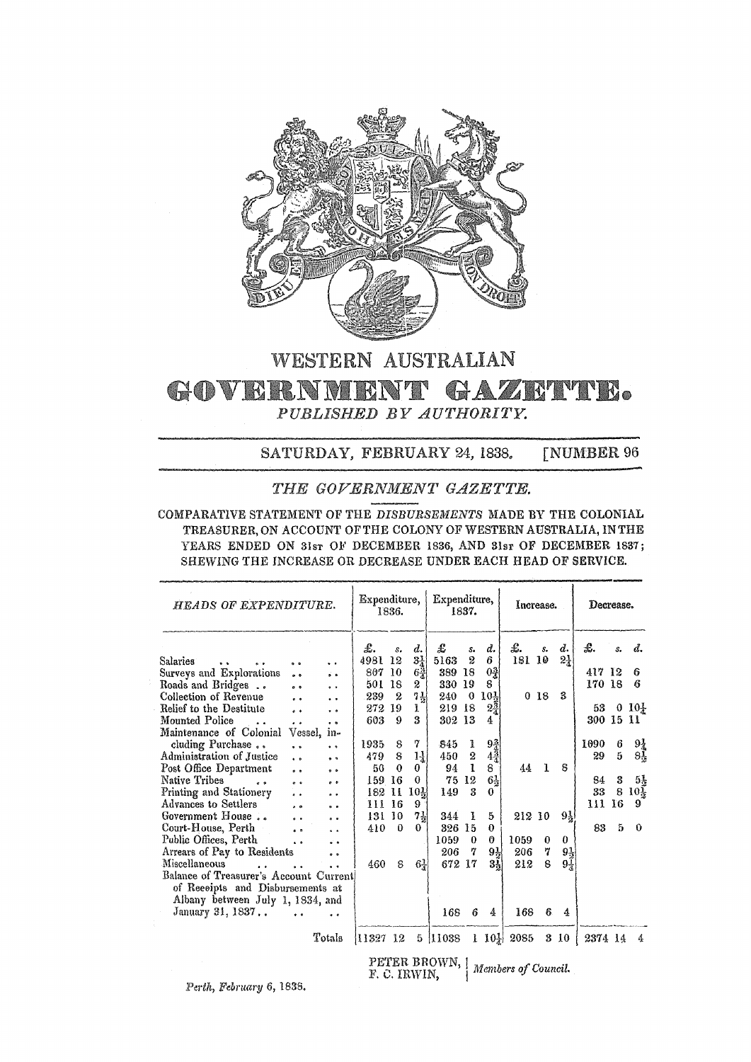

# WESTERN AUSTRALIAN GOVERNMENT GAZETTE. PUBLISHED BY AUTHORITY.

SATURDAY, FEBRUARY 24, 1838, **[NUMBER 96** 

## THE GOVERNMENT GAZETTE.

COMPARATIVE STATEMENT OF THE DISBURSEMENTS MADE BY THE COLONIAL TREASURER, ON ACCOUNT OF THE COLONY OF WESTERN AUSTRALIA, IN THE YEARS ENDED ON 31sr OF DECEMBER 1836, AND 31sr OF DECEMBER 1837; SHEWING THE INCREASE OR DECREASE UNDER EACH HEAD OF SERVICE.

| HEADS OF EXPENDITURE.                  |                       |                          | Expenditure,<br>1836. |          |                 | Expenditure,<br>1837. |               |                 | Increase.                |                 |                | Decrease. |    |                 |
|----------------------------------------|-----------------------|--------------------------|-----------------------|----------|-----------------|-----------------------|---------------|-----------------|--------------------------|-----------------|----------------|-----------|----|-----------------|
|                                        |                       |                          | £.                    | s.       | d.              | £                     | $S_{\bullet}$ | d.              | £.                       | s.              | d.             | £.        | s. | d.              |
| <b>Salaries</b><br>$\bullet$           | $^{\circ}$            | $\ddot{\phantom{0}}$     | 4981                  | 12       | $3\frac{1}{4}$  | 5163                  | 2             | 6               | 181 10                   |                 | $2\frac{1}{4}$ |           |    |                 |
| Surveys and Explorations               | $\bullet$             | $\overline{\phantom{a}}$ | 807 10                |          | $6\frac{3}{4}$  | 389 18                |               | $0\frac{3}{4}$  |                          |                 |                | 417 12    |    | 6               |
| Roads and Bridges                      | $\bullet$             | $^{\circ}$               | 501 18                |          | 2               | 330 19                |               | 8               |                          |                 |                | 170 18    |    | 6               |
| Collection of Revenue                  | $\ddot{\phantom{0}}$  | $\ddot{\phantom{0}}$     | 239                   | 2        | $7\frac{1}{2}$  | 240                   | $\bf{0}$      | 10 <sub>1</sub> |                          | 0 <sub>18</sub> | 3              |           |    |                 |
| Relief to the Destitute                | $^{\circ}$            | $\bullet$ $\bullet$      | 272                   | -19      | ı.              | 219                   | -18           | $2\frac{3}{4}$  |                          |                 |                | 53        |    | 0.101           |
| Mounted Police                         | $\cdot$ $\cdot$       | $\cdot$ $\cdot$          | 603                   | 9        | 3               | 302 13                |               | 4               |                          |                 |                | 300 15 11 |    |                 |
| Maintenance of Colonial                | Vessel,               | $1n-$                    |                       |          |                 |                       |               |                 |                          |                 |                |           |    |                 |
| cluding Purchase                       | $^{\circ}$            | $\bullet$                | 1935                  | 8        | 7               | 845                   | 1             | $9\frac{3}{4}$  |                          |                 |                | 1090      | 6  | $9\frac{1}{4}$  |
| Administration of Justice              | $\ddot{\phantom{0}}$  | $^{\circ}$               | 479                   | 8        | 14              | 450                   | 2             | $4\frac{3}{4}$  |                          |                 |                | 29        | 5  | $8\frac{1}{2}$  |
| Post Office Department                 | $\bullet$             | 00                       | 50                    | $\bf{0}$ | 0               | 94                    | 1             | 8.              | 44                       | L               | 8              |           |    |                 |
| Native Tribes<br>$\ddot{\phantom{a}}$  | $-$                   | $0 - 0$                  | 159                   | -16      | 0               | 75                    | $12\,$        | 64              |                          |                 |                | 84        | 3  | $5\frac{1}{2}$  |
| Printing and Stationery                | $\ddot{\phantom{0}}$  | $\bullet$                | 182                   | 11       | 10 <sub>k</sub> | 149                   | 3             | 0               |                          |                 |                | 33        | 8  | $10\frac{1}{2}$ |
| Advances to Settlers                   | $\bullet$ $\bullet$   | $^{\circ}$               | 111 16                |          | 9               |                       |               |                 |                          |                 |                | 111       | 16 | 9               |
| Government House                       | $\bullet$ . $\bullet$ | $\bullet$                | 131 10                |          | $7\frac{1}{2}$  | 344                   | 1             | 5               | 212 10                   |                 | $9\frac{1}{2}$ |           |    |                 |
| Court-House, Perth                     | $\bullet$ $\bullet$   |                          | 410                   | $\theta$ | 0               | 326 15                |               | $\bf{0}$        |                          |                 |                | 83        | 5  | $\Omega$        |
| Public Offices, Perth                  |                       | $\ddot{\phantom{a}}$     |                       |          |                 | 1059                  | $\theta$      | 0               | 1059                     | 0               | 0              |           |    |                 |
| Arrears of Pay to Residents            | $\ddot{\phantom{a}}$  |                          |                       |          |                 | 206                   | 7             | 94              | 206                      | 7               | $9\frac{1}{2}$ |           |    |                 |
| Miscellaneous                          |                       | $^{\circ}$               | 460                   | 8        |                 | 672                   | -17           | 3,              | 212                      | 8               | $9\frac{1}{4}$ |           |    |                 |
| Balance of Treasurer's Account Current |                       |                          |                       |          | $6\frac{1}{4}$  |                       |               |                 |                          |                 |                |           |    |                 |
|                                        |                       |                          |                       |          |                 |                       |               |                 |                          |                 |                |           |    |                 |
| of Reeeipts and Disbursements at       |                       |                          |                       |          |                 |                       |               |                 |                          |                 |                |           |    |                 |
| Albany between July 1, 1834, and       |                       |                          |                       |          |                 |                       |               |                 |                          |                 |                |           |    |                 |
| January 31, 1837                       |                       |                          |                       |          |                 | 168                   | 6             | 4               | 168                      | 6.              | 4              |           |    |                 |
|                                        |                       | Totals                   | 11327 12              |          |                 | 5 11038               |               |                 | $1 \t10\frac{1}{4}$ 2085 |                 | 3 10           | 2374 14   |    | 4               |
|                                        |                       |                          |                       |          | m a rretrer     | PETER BROWN, [        |               |                 | Members of Council.      |                 |                |           |    |                 |

Perth, February 6, 1838.

 $E, C, IRWIN,$  $\mathbf{I}$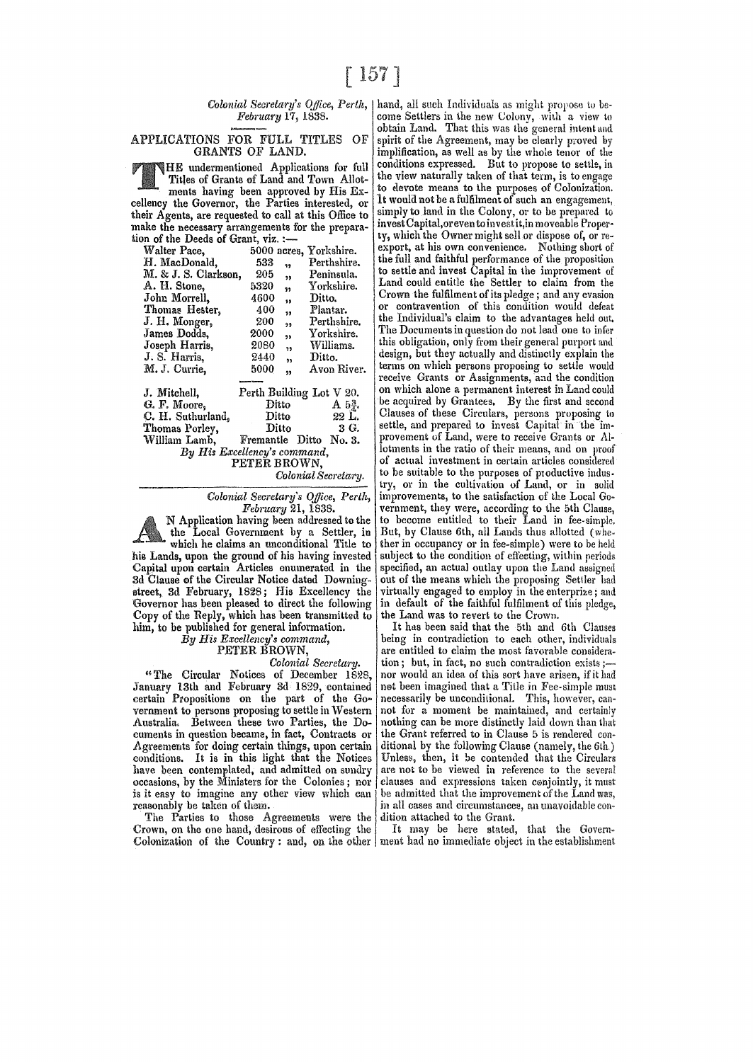## February 17, 1838.

### APPLICATIONS FOR FULL TITLES OF GRANTS OF LAND.

THE undermentioned Applications for full Titles of Grants of Land and Town Allotments having been approved by His Excellency the Governor, the Parties interested, or their Agents, are requested to call at this Office to make the necessary arrangements for the preparation of the Deeds of Grant, viz. :-

| Walter Pace,                 | 5000 acres, Yorkshire.          |                   |  |  |  |  |  |
|------------------------------|---------------------------------|-------------------|--|--|--|--|--|
| H. MacDonald.                | 533<br>99                       | Perthshire.       |  |  |  |  |  |
| M. & J. S. Clarkson,         | 205<br>,,                       | Peninsula.        |  |  |  |  |  |
| A. H. Stone,                 | 5320<br>$\overline{\mathbf{z}}$ | Yorkshire.        |  |  |  |  |  |
| John Morrell,                | 4600<br>99                      | Ditto.            |  |  |  |  |  |
| Thomas Hester,               | 400<br>99                       | Plantar.          |  |  |  |  |  |
| J. H. Monger,                | - 200<br>99                     | Perthshire.       |  |  |  |  |  |
| James Dodds,                 | 2000<br>,,                      | Yorkshire.        |  |  |  |  |  |
| Joseph Harris,               | 2080<br>35                      | Williams.         |  |  |  |  |  |
| J. S. Harris,                | 2440<br>99                      | Ditto.            |  |  |  |  |  |
| M. J. Currie.                | 5000<br>93                      | Avon River.       |  |  |  |  |  |
|                              |                                 |                   |  |  |  |  |  |
| J. Mitchell,                 | Perth Building Lot V 20.        |                   |  |  |  |  |  |
| G. F. Moore,                 | Ditto                           | $A\ 5\frac{3}{4}$ |  |  |  |  |  |
| C. H. Suthurland,            | Ditto                           | $-22$ L.          |  |  |  |  |  |
| Thomas Porley,               | Ditto                           | 3 G.              |  |  |  |  |  |
| William Lamb,                | Fremantle Ditto No. 3.          |                   |  |  |  |  |  |
| By His Excellency's command, |                                 |                   |  |  |  |  |  |
| PETER BROWN.                 |                                 |                   |  |  |  |  |  |
|                              | Colonial Secretary.             |                   |  |  |  |  |  |

Colonial Secretary's Office, Perth,<br>February 21, 1838.

N Application having been addressed to the the Local Government by a Settler, in which he claims an unconditional Title to his Lands, upon the ground of his having invested Capital upon certain Articles enumerated in the 3d Clause of the Circular Notice dated Downingstreet, 3d February, 1828; His Excellency the Governor has been pleased to direct the following Copy of the Reply, which has been transmitted to him, to be published for general information.

By His Excellency's command,

## PETER BROWN.

## Colonial Secretary.

"The Circular Notices of December 1828, January 13th and February 3d 1829, contained<br>certain Propositions on the part of the Government to persons proposing to settle in Western Australia. Between these two Parties, the Documents in question became, in fact, Contracts or Agreements for doing certain things, upon certain conditions. It is in this light that the Notices have been contemplated, and admitted on sundry occasions, by the Ministers for the Colonies; nor is it easy to imagine any other view which can reasonably be taken of them.

The Parties to those Agreements were the Crown, on the one hand, desirous of effecting the Colonization of the Country: and, on the other

Colonial Secretary's Office, Perth, | hand, all such Individuals as might propose to become Settlers in the new Colony, with a view to obtain Land. That this was the general intent and spirit of the Agreement, may be clearly proved by implification, as well as by the whole tenor of the conditions expressed. But to propose to settle, in the view naturally taken of that term, is to engage to devote means to the purposes of Colonization. It would not be a fulfilment of such an engagement, simply to land in the Colony, or to be prepared to invest Capital, or even to invest it, in moveable Property, which the Owner might sell or dispose of, or rethe full and faithful performance of the proposition to settle and invest Capital in the improvement of Land could entitle the Settler to claim from the<br>Crown the fulfilment of its pledge; and any evasion or contravention of this condition would defeat the Individual's claim to the advantages held out. The Documents in question do not lead one to infer this obligation, only from their general purport and design, but they actually and distinctly explain the terms on which persons proposing to settle would receive Grants or Assignments, and the condition on which alone a permanent interest in Land could be acquired by Grantees. By the first and second Clauses of these Circulars, persons proposing to settle, and prepared to invest Capital in the improvement of Land, were to receive Grants or Allotments in the ratio of their means, and on proof of actual investment in certain articles considered to be suitable to the purposes of productive industry, or in the cultivation of Land, or in solid improvements, to the satisfaction of the Local Government, they were, according to the 5th Clause, to become entitled to their Land in fee-simple. But, by Clause 6th, all Lands thus allotted (whether in occupancy or in fee-simple) were to be held subject to the condition of effecting, within periods specified, an actual outlay upon the Land assigned out of the means which the proposing Settler had virtually engaged to employ in the enterprize; and in default of the faithful fulfilment of this pledge, the Land was to revert to the Crown.

It has been said that the 5th and 6th Clauses being in contradiction to each other, individuals are entitled to claim the most favorable consideration; but, in fact, no such contradiction exists;nor would an idea of this sort have arisen, if it had not been imagined that a Title in Fee-simple must necessarily be unconditional. This, however, cannot for a moment be maintained, and certainly nothing can be more distinctly laid down than that the Grant referred to in Clause 5 is rendered conditional by the following Clause (namely, the 6th.) Unless, then, it be contended that the Circulars are not to be viewed in reference to the several clauses and expressions taken conjointly, it must be admitted that the improvement of the Land was, in all cases and circumstances, an unavoidable condition attached to the Grant.

It may be here stated, that the Government had no immediate object in the establishment